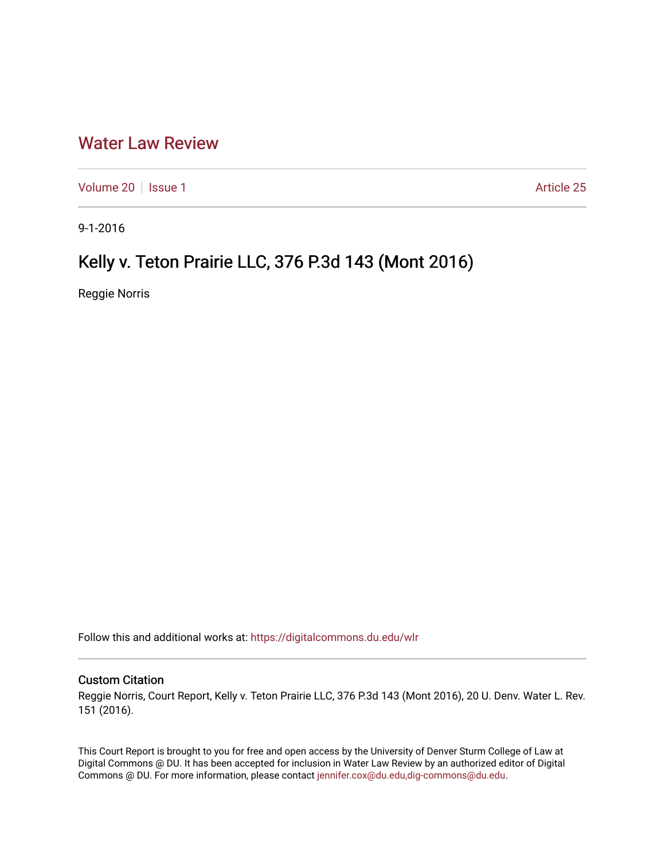## [Water Law Review](https://digitalcommons.du.edu/wlr)

[Volume 20](https://digitalcommons.du.edu/wlr/vol20) | [Issue 1](https://digitalcommons.du.edu/wlr/vol20/iss1) Article 25

9-1-2016

## Kelly v. Teton Prairie LLC, 376 P.3d 143 (Mont 2016)

Reggie Norris

Follow this and additional works at: [https://digitalcommons.du.edu/wlr](https://digitalcommons.du.edu/wlr?utm_source=digitalcommons.du.edu%2Fwlr%2Fvol20%2Fiss1%2F25&utm_medium=PDF&utm_campaign=PDFCoverPages) 

## Custom Citation

Reggie Norris, Court Report, Kelly v. Teton Prairie LLC, 376 P.3d 143 (Mont 2016), 20 U. Denv. Water L. Rev. 151 (2016).

This Court Report is brought to you for free and open access by the University of Denver Sturm College of Law at Digital Commons @ DU. It has been accepted for inclusion in Water Law Review by an authorized editor of Digital Commons @ DU. For more information, please contact [jennifer.cox@du.edu,dig-commons@du.edu.](mailto:jennifer.cox@du.edu,dig-commons@du.edu)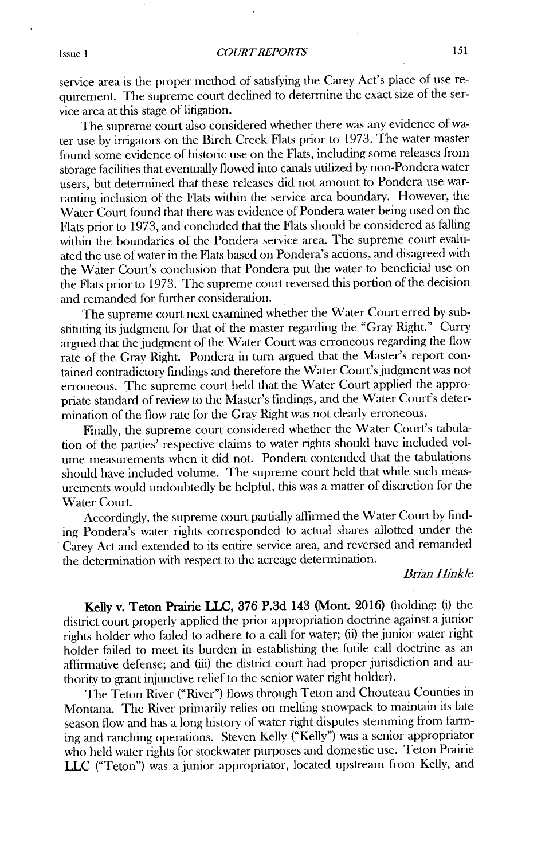service area is the proper method of satisfying the Carey Act's place of use requirement. The supreme court declined to determine the exact size of the service area at this stage of litigation.

The supreme court also considered whether there was any evidence of water use **by** irrigators on the Birch Creek Flats prior to **1973.** The water master found some evidence of historic use on **the** Flats, including some releases from storage facilities that eventually flowed into canals utilized **by** non-Pondera water users, but determined that these releases **did** not amount to Pondera use warranting inclusion of the Flats within the service area boundary. However, the Water Court found that there was evidence of Pondera water being used on the Flats prior to **1973,** and concluded that the Flats should be considered as falling within the boundaries of the Pondera service area. The supreme court evaluated the use of water in the Flats based on Pondera's actions, and disagreed with the Water Court's conclusion that Pondera put the water to beneficial use on the Flats prior to **1973.** The supreme court reversed this portion of the decision and remanded for further consideration.

The supreme court next examined whether the Water Court erred **by** substituting its judgment for that of the master regarding the "Gray Right." Curry argued that the judgment of the Water Court was erroneous regarding the flow rate of the Gray Right. Pondera in turn argued that the Master's report contained contradictory findings and therefore the Water Court's judgment was not erroneous. The supreme court held that the Water Court applied the appropriate standard of review to the Master's findings, and the Water Court's determination of the flow rate for the Gray Right was not clearly erroneous.

Finally, the supreme court considered whether the Water Court's tabulation of the parties' respective claims to water rights should have included volume measurements when it did not. Pondera contended that the tabulations should have included volume. The supreme court held that while such measurements would undoubtedly be helpful, this was a matter of discretion for the Water Court.

Accordingly, the supreme court partially affirmed the Water Court **by** finding Pondera's water rights corresponded to actual shares allotted under the Carey Act and extended to its entire service area, and reversed and remanded the determination with respect to **the** acreage determination.

## *Brian Hinkle*

Kelly v. Teton **Prairie LLC, 376 P.3d** 143 (Mont **2016)** (holding: **(i)** the district court properly applied the prior appropriation doctrine against a junior rights holder who failed to adhere to a call for water; **(ii)** the junior water right holder failed to meet its burden in establishing the futile call doctrine as an affirmative defense; and **(iii)** the district court had proper jurisdiction and authority to grant injunctive relief to the senior water right holder).

The Teton River ("River") flows through Teton and Chouteau Counties in Montana. The River primarily relies on melting snowpack to maintain its late season flow and has a long history of water right disputes stemming from farming and ranching operations. Steven Kelly ("Kelly") was a senior appropriator who held water rights for stockwater purposes and domestic use. Teton Prairie **LLC** ("Teton") was a junior appropriator, located upstream from Kelly, and